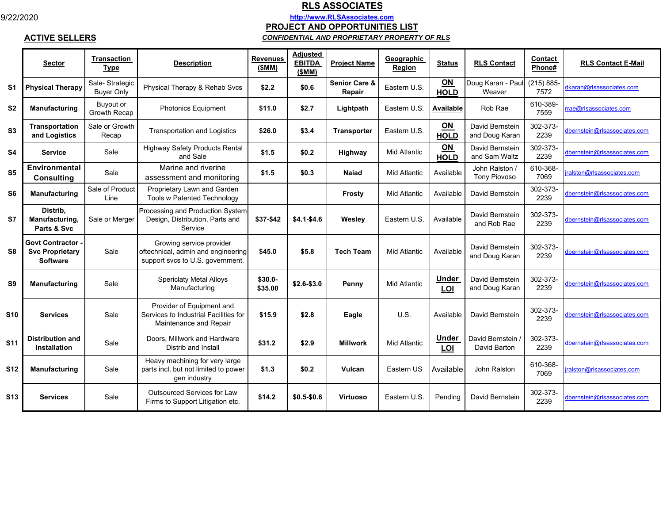**ACTIVE SELLERS**

## **RLS ASSOCIATES**

**http://www.RLSAssociates.com**

**PROJECT AND OPPORTUNITIES LIST**

## *CONFIDENTIAL AND PROPRIETARY PROPERTY OF RLS*

|                | <b>Sector</b>                                                       | <b>Transaction</b><br><b>Type</b>   | <b>Description</b>                                                                                 | <b>Revenues</b><br>(SMM) | <b>Adjusted</b><br><b>EBITDA</b><br>(SMM) | <b>Project Name</b>                | Geographic<br>Region | <b>Status</b>            | <b>RLS Contact</b>                    | Contact<br>Phone#     | <b>RLS Contact E-Mail</b>         |
|----------------|---------------------------------------------------------------------|-------------------------------------|----------------------------------------------------------------------------------------------------|--------------------------|-------------------------------------------|------------------------------------|----------------------|--------------------------|---------------------------------------|-----------------------|-----------------------------------|
| S <sub>1</sub> | <b>Physical Therapy</b>                                             | Sale-Strategic<br><b>Buyer Only</b> | Physical Therapy & Rehab Svcs                                                                      | \$2.2                    | \$0.6                                     | <b>Senior Care &amp;</b><br>Repair | Eastern U.S.         | ON<br><b>HOLD</b>        | Doug Karan - Pau<br>Weaver            | $(215) 885 -$<br>7572 | dkaran@rlsassociates.com          |
| S <sub>2</sub> | <b>Manufacturing</b>                                                | Buvout or<br>Growth Recap           | <b>Photonics Equipment</b>                                                                         | \$11.0                   | \$2.7                                     | Lightpath                          | Eastern U.S.         | Available                | Rob Rae                               | 610-389-<br>7559      | rae@rlsassociates.com             |
| S <sub>3</sub> | Transportation<br>and Logistics                                     | Sale or Growth<br>Recap             | <b>Transportation and Logistics</b>                                                                | \$26.0                   | \$3.4                                     | <b>Transporter</b>                 | Eastern U.S.         | ON<br><b>HOLD</b>        | David Bernstein<br>and Doug Karan     | 302-373-<br>2239      | lbernstein@rlsassociates.com      |
| <b>S4</b>      | <b>Service</b>                                                      | Sale                                | <b>Highway Safety Products Rental</b><br>and Sale                                                  | \$1.5                    | \$0.2                                     | Highway                            | <b>Mid Atlantic</b>  | <b>ON</b><br><b>HOLD</b> | David Bernstein<br>and Sam Waltz      | 302-373-<br>2239      | dbernstein@rlsassociates.com      |
| S <sub>5</sub> | Environmental<br><b>Consulting</b>                                  | Sale                                | Marine and riverine<br>assessment and monitoring                                                   | \$1.5                    | \$0.3                                     | Naiad                              | <b>Mid Atlantic</b>  | Available                | John Ralston /<br><b>Tony Piovoso</b> | 610-368-<br>7069      | ralst <u>on@rlsassociates.com</u> |
| S <sub>6</sub> | <b>Manufacturing</b>                                                | Sale of Product<br>Line             | Proprietary Lawn and Garden<br><b>Tools w Patented Technology</b>                                  |                          |                                           | Frosty                             | <b>Mid Atlantic</b>  | Available                | David Bernstein                       | 302-373-<br>2239      | dbernstein@rlsassociates.com      |
| S7             | Distrib,<br>Manufacturing,<br>Parts & Svc                           | Sale or Merger                      | Processing and Production System<br>Design, Distribution, Parts and<br>Service                     | \$37-\$42                | $$4.1 - $4.6$                             | Weslev                             | Eastern U.S.         | Available                | David Bernstein<br>and Rob Rae        | 302-373-<br>2239      | dbernstein@rlsassociates.com      |
| S8             | <b>Govt Contractor</b><br><b>Svc Proprietary</b><br><b>Software</b> | Sale                                | Growing service provider<br>oftechnical, admin and engineering<br>support svcs to U.S. government. | \$45.0                   | \$5.8                                     | <b>Tech Team</b>                   | <b>Mid Atlantic</b>  | Available                | David Bernstein<br>and Doug Karan     | 302-373-<br>2239      | dbernstein@rlsassociates.com      |
| S <sub>9</sub> | Manufacturing                                                       | Sale                                | <b>Spericlaty Metal Alloys</b><br>Manufacturing                                                    | \$30.0-<br>\$35.00       | $$2.6 - $3.0$                             | Penny                              | <b>Mid Atlantic</b>  | <b>Under</b><br>LOI      | David Bernstein<br>and Doug Karan     | 302-373-<br>2239      | dbernstein@rlsassociates.com      |
| <b>S10</b>     | <b>Services</b>                                                     | Sale                                | Provider of Equipment and<br>Services to Industrial Facilities for<br>Maintenance and Repair       | \$15.9                   | \$2.8                                     | Eagle                              | U.S.                 | Available                | David Bernstein                       | 302-373-<br>2239      | dbernstein@rlsassociates.com      |
| <b>S11</b>     | <b>Distribution and</b><br><b>Installation</b>                      | Sale                                | Doors, Millwork and Hardware<br>Distrib and Install                                                | \$31.2                   | \$2.9                                     | <b>Millwork</b>                    | Mid Atlantic         | <b>Under</b><br>LOI      | David Bernstein<br>David Barton       | 302-373-<br>2239      | dbernstein@rlsassociates.com      |
| <b>S12</b>     | <b>Manufacturing</b>                                                | Sale                                | Heavy machining for very large<br>parts incl, but not limited to power<br>gen industry             | \$1.3                    | \$0.2                                     | Vulcan                             | Eastern US           | Available                | John Ralston                          | 610-368-<br>7069      | ralston@rlsassociates.com         |
| <b>S13</b>     | Services                                                            | Sale                                | <b>Outsourced Services for Law</b><br>Firms to Support Litigation etc.                             | \$14.2                   | $$0.5 - $0.6$                             | <b>Virtuoso</b>                    | Eastern U.S.         | Pending                  | David Bernstein                       | 302-373-<br>2239      | dbernstein@rlsassociates.com      |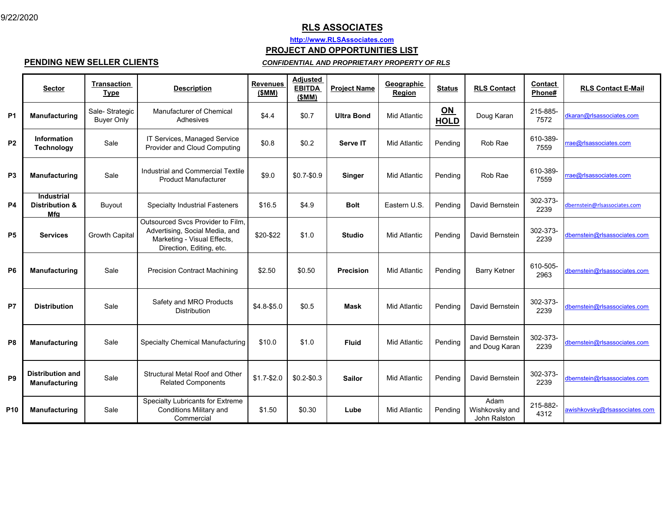## **RLS ASSOCIATES**

**http://www.RLSAssociates.com**

**PROJECT AND OPPORTUNITIES LIST**

**PENDING NEW SELLER CLIENTS**

#### *CONFIDENTIAL AND PROPRIETARY PROPERTY OF RLS*

|                | <b>Sector</b>                                         | <b>Transaction</b><br><b>Type</b>   | <b>Description</b>                                                                                                             | <b>Revenues</b><br>(SMM) | <b>Adjusted</b><br><b>EBITDA</b><br>(SMM) | <b>Project Name</b> | Geographic<br>Region | <b>Status</b>     | <b>RLS Contact</b>                     | Contact<br>Phone# | <b>RLS Contact E-Mail</b>     |
|----------------|-------------------------------------------------------|-------------------------------------|--------------------------------------------------------------------------------------------------------------------------------|--------------------------|-------------------------------------------|---------------------|----------------------|-------------------|----------------------------------------|-------------------|-------------------------------|
| P <sub>1</sub> | Manufacturing                                         | Sale-Strategic<br><b>Buyer Only</b> | Manufacturer of Chemical<br>Adhesives                                                                                          | \$4.4                    | \$0.7                                     | <b>Ultra Bond</b>   | <b>Mid Atlantic</b>  | ON<br><b>HOLD</b> | Doug Karan                             | 215-885-<br>7572  | dkaran@rlsassociates.com      |
| P <sub>2</sub> | Information<br><b>Technology</b>                      | Sale                                | IT Services, Managed Service<br>Provider and Cloud Computing                                                                   | \$0.8                    | \$0.2                                     | Serve IT            | <b>Mid Atlantic</b>  | Pending           | Rob Rae                                | 610-389-<br>7559  | rae@rlsassociates.com         |
| P <sub>3</sub> | <b>Manufacturing</b>                                  | Sale                                | Industrial and Commercial Textile<br><b>Product Manufacturer</b>                                                               | \$9.0                    | $$0.7 - $0.9$                             | <b>Singer</b>       | <b>Mid Atlantic</b>  | Pendina           | Rob Rae                                | 610-389-<br>7559  | rrae@rlsassociates.com        |
| P4             | <b>Industrial</b><br><b>Distribution &amp;</b><br>Mfg | Buyout                              | <b>Specialty Industrial Fasteners</b>                                                                                          | \$16.5                   | \$4.9                                     | <b>Bolt</b>         | Eastern U.S.         | Pending           | David Bernstein                        | 302-373-<br>2239  | dbernstein@rlsassociates.com  |
| P <sub>5</sub> | <b>Services</b>                                       | <b>Growth Capital</b>               | Outsourced Svcs Provider to Film,<br>Advertising, Social Media, and<br>Marketing - Visual Effects,<br>Direction, Editing, etc. | \$20-\$22                | \$1.0                                     | <b>Studio</b>       | <b>Mid Atlantic</b>  | Pending           | David Bernstein                        | 302-373-<br>2239  | dbernstein@rlsassociates.com  |
| P <sub>6</sub> | <b>Manufacturing</b>                                  | Sale                                | <b>Precision Contract Machining</b>                                                                                            | \$2.50                   | \$0.50                                    | Precision           | <b>Mid Atlantic</b>  | Pending           | <b>Barry Ketner</b>                    | 610-505-<br>2963  | dbernstein@rlsassociates.com  |
| P7             | <b>Distribution</b>                                   | Sale                                | Safety and MRO Products<br><b>Distribution</b>                                                                                 | $$4.8 - $5.0$            | \$0.5                                     | <b>Mask</b>         | Mid Atlantic         | Pending           | David Bernstein                        | 302-373-<br>2239  | dbernstein@rlsassociates.com  |
| P8             | <b>Manufacturing</b>                                  | Sale                                | <b>Specialty Chemical Manufacturing</b>                                                                                        | \$10.0                   | \$1.0                                     | <b>Fluid</b>        | Mid Atlantic         | Pendina           | David Bernstein<br>and Doug Karan      | 302-373-<br>2239  | dbernstein@rlsassociates.com  |
| P <sub>9</sub> | <b>Distribution and</b><br>Manufacturing              | Sale                                | <b>Structural Metal Roof and Other</b><br><b>Related Components</b>                                                            | $$1.7 - $2.0$            | $$0.2 - $0.3$                             | <b>Sailor</b>       | <b>Mid Atlantic</b>  | Pending           | David Bernstein                        | 302-373-<br>2239  | dbernstein@rlsassociates.com  |
| <b>P10</b>     | Manufacturing                                         | Sale                                | Specialty Lubricants for Extreme<br>Conditions Military and<br>Commercial                                                      | \$1.50                   | \$0.30                                    | Lube                | Mid Atlantic         | Pending           | Adam<br>Wishkovsky and<br>John Ralston | 215-882-<br>4312  | awishkovsky@rlsassociates.com |

9/22/2020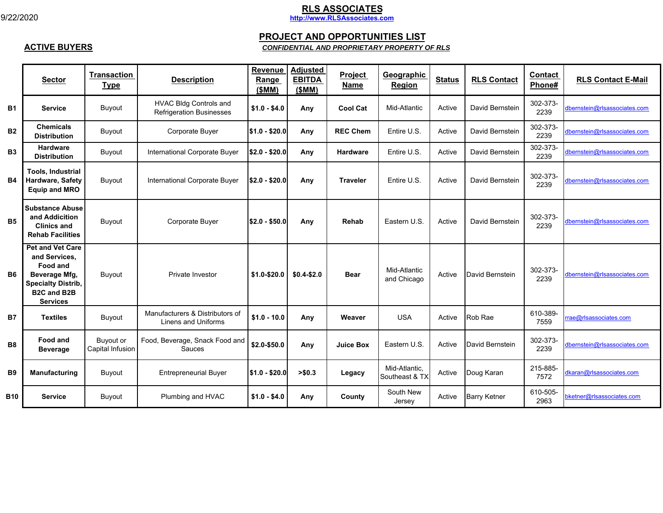**ACTIVE BUYERS**

# **RLS ASSOCIATES http://www.RLSAssociates.com**

### **PROJECT AND OPPORTUNITIES LIST**

### *CONFIDENTIAL AND PROPRIETARY PROPERTY OF RLS*

|            | <b>Sector</b>                                                                                                                               | <b>Transaction</b><br><b>Type</b>    | <b>Description</b>                                               | Revenue<br>Range<br>(SMM) | <b>Adjusted</b><br><b>EBITDA</b><br>(SMM) | <b>Project</b><br>Name | Geographic<br><b>Region</b>     | <b>Status</b> | <b>RLS Contact</b>  | <b>Contact</b><br>Phone# | <b>RLS Contact E-Mail</b>    |
|------------|---------------------------------------------------------------------------------------------------------------------------------------------|--------------------------------------|------------------------------------------------------------------|---------------------------|-------------------------------------------|------------------------|---------------------------------|---------------|---------------------|--------------------------|------------------------------|
| <b>B1</b>  | <b>Service</b>                                                                                                                              | <b>Buyout</b>                        | <b>HVAC Bldg Controls and</b><br><b>Refrigeration Businesses</b> | $$1.0 - $4.0$             | Any                                       | <b>Cool Cat</b>        | Mid-Atlantic                    | Active        | David Bernstein     | 302-373-<br>2239         | dbernstein@rlsassociates.com |
| <b>B2</b>  | <b>Chemicals</b><br><b>Distribution</b>                                                                                                     | <b>Buyout</b>                        | Corporate Buyer                                                  | $$1.0 - $20.0$            | Any                                       | <b>REC Chem</b>        | Entire U.S.                     | Active        | David Bernstein     | 302-373-<br>2239         | dbernstein@rlsassociates.com |
| <b>B3</b>  | <b>Hardware</b><br><b>Distribution</b>                                                                                                      | Buyout                               | International Corporate Buyer                                    | $$2.0 - $20.0$            | Any                                       | <b>Hardware</b>        | Entire U.S.                     | Active        | David Bernstein     | 302-373-<br>2239         | dbernstein@rlsassociates.com |
| <b>B4</b>  | <b>Tools. Industrial</b><br>Hardware, Safety<br><b>Equip and MRO</b>                                                                        | <b>Buyout</b>                        | International Corporate Buyer                                    | $$2.0 - $20.0$            | Any                                       | <b>Traveler</b>        | Entire U.S.                     | Active        | David Bernstein     | 302-373-<br>2239         | dbernstein@rlsassociates.com |
| <b>B5</b>  | <b>Substance Abuse</b><br>and Addicition<br><b>Clinics and</b><br><b>Rehab Facilities</b>                                                   | Buyout                               | Corporate Buyer                                                  | $$2.0 - $50.0$            | Any                                       | Rehab                  | Eastern U.S.                    | Active        | David Bernstein     | 302-373-<br>2239         | dbernstein@rlsassociates.com |
| <b>B6</b>  | <b>Pet and Vet Care</b><br>and Services.<br>Food and<br>Beverage Mfg,<br><b>Specialty Distrib,</b><br><b>B2C and B2B</b><br><b>Services</b> | Buyout                               | Private Investor                                                 | \$1.0-\$20.0              | $$0.4-S2.0$                               | <b>Bear</b>            | Mid-Atlantic<br>and Chicago     | Active        | David Bernstein     | 302-373-<br>2239         | dbernstein@rlsassociates.com |
| <b>B7</b>  | <b>Textiles</b>                                                                                                                             | Buyout                               | Manufacturers & Distributors of<br>Linens and Uniforms           | $$1.0 - 10.0$             | Any                                       | Weaver                 | <b>USA</b>                      | Active        | Rob Rae             | 610-389-<br>7559         | rae@rlsassociates.com        |
| <b>B8</b>  | <b>Food and</b><br><b>Beverage</b>                                                                                                          | <b>Buyout or</b><br>Capital Infusion | Food, Beverage, Snack Food and<br>Sauces                         | \$2.0-\$50.0              | Any                                       | <b>Juice Box</b>       | Eastern U.S.                    | Active        | David Bernstein     | 302-373-<br>2239         | dbernstein@rlsassociates.com |
| <b>B9</b>  | Manufacturing                                                                                                                               | Buyout                               | <b>Entrepreneurial Buyer</b>                                     | $$1.0 - $20.0$            | > \$0.3                                   | Legacy                 | Mid-Atlantic,<br>Southeast & TX | Active        | Doug Karan          | 215-885-<br>7572         | dkaran@rlsassociates.com     |
| <b>B10</b> | <b>Service</b>                                                                                                                              | <b>Buyout</b>                        | Plumbing and HVAC                                                | $$1.0 - $4.0$             | Any                                       | County                 | South New<br>Jersey             | Active        | <b>Barry Ketner</b> | 610-505-<br>2963         | bketner@rlsassociates.com    |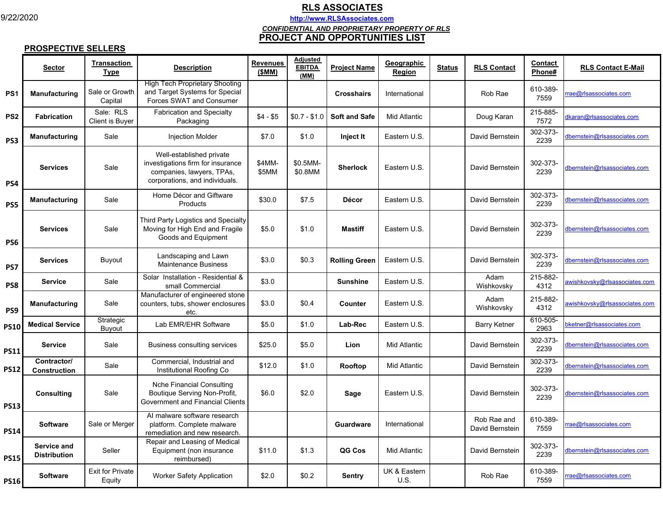9/22/2020

# **RLS ASSOCIATES http://www.RLSAssociates.com**

*CONFIDENTIAL AND PROPRIETARY PROPERTY OF RLS*

#### **PROJECT AND OPPORTUNITIES LIST**

#### **PROSPECTIVE SELLERS**

|                 | <b>Sector</b>                      | <b>Transaction</b><br>Type          | <b>Description</b>                                                                                                           | <b>Revenues</b><br>(\$MM) | Adjusted<br><b>EBITDA</b><br>(MM) | <b>Project Name</b>  | Geographic<br>Region | <b>Status</b> | <b>RLS Contact</b>             | Contact<br>Phone# | <b>RLS Contact E-Mail</b>            |
|-----------------|------------------------------------|-------------------------------------|------------------------------------------------------------------------------------------------------------------------------|---------------------------|-----------------------------------|----------------------|----------------------|---------------|--------------------------------|-------------------|--------------------------------------|
| PS <sub>1</sub> | Manufacturing                      | Sale or Growth<br>Capital           | <b>High Tech Proprietary Shooting</b><br>and Target Systems for Special<br>Forces SWAT and Consumer                          |                           |                                   | <b>Crosshairs</b>    | International        |               | Rob Rae                        | 610-389-<br>7559  | rae@rlsassociates.com                |
| PS <sub>2</sub> | <b>Fabrication</b>                 | Sale: RLS<br><b>Client is Buyer</b> | <b>Fabrication and Specialty</b><br>Packaging                                                                                | $$4 - $5$                 | $$0.7 - $1.0$                     | <b>Soft and Safe</b> | <b>Mid Atlantic</b>  |               | Doug Karan                     | 215-885-<br>7572  | dkaran@rlsassociates.com             |
| PS <sub>3</sub> | <b>Manufacturing</b>               | Sale                                | <b>Injection Molder</b>                                                                                                      | \$7.0                     | \$1.0                             | Inject It            | Eastern U.S.         |               | David Bernstein                | 302-373-<br>2239  | dbernstein@rlsassociates.com         |
| PS4             | <b>Services</b>                    | Sale                                | Well-established private<br>investigations firm for insurance<br>companies, lawyers, TPAs,<br>corporations, and individuals. | \$4MM-<br>\$5MM           | \$0.5MM-<br>\$0.8MM               | <b>Sherlock</b>      | Eastern U.S.         |               | David Bernstein                | 302-373-<br>2239  | dbernstein@rlsassociates.com         |
| PS5             | <b>Manufacturing</b>               | Sale                                | Home Décor and Giftware<br>Products                                                                                          | \$30.0                    | \$7.5                             | <b>Décor</b>         | Eastern U.S.         |               | David Bernstein                | 302-373-<br>2239  | dbernstein@rlsassociates.com         |
| PS6             | <b>Services</b>                    | Sale                                | Third Party Logistics and Specialty<br>Moving for High End and Fragile<br>Goods and Equipment                                | \$5.0                     | \$1.0                             | <b>Mastiff</b>       | Eastern U.S.         |               | David Bernstein                | 302-373-<br>2239  | dbernstein@rlsassociates.com         |
| PS7             | <b>Services</b>                    | Buyout                              | Landscaping and Lawn<br><b>Maintenance Business</b>                                                                          | \$3.0                     | \$0.3                             | <b>Rolling Green</b> | Eastern U.S.         |               | David Bernstein                | 302-373-<br>2239  | dbernstein@rlsassociates.com         |
| PS8             | <b>Service</b>                     | Sale                                | Solar Installation - Residential &<br>small Commercial                                                                       | \$3.0                     |                                   | <b>Sunshine</b>      | Eastern U.S.         |               | Adam<br>Wishkovsky             | 215-882-<br>4312  | awishkovsky@rlsassociates.com        |
| PS9             | Manufacturing                      | Sale                                | Manufacturer of engineered stone<br>counters, tubs, shower enclosures<br>etc.                                                | \$3.0                     | \$0.4                             | Counter              | Eastern U.S.         |               | Adam<br>Wishkovsky             | 215-882-<br>4312  | wishkovsky@rlsassociates.com         |
| <b>PS10</b>     | <b>Medical Service</b>             | Strategic<br>Buyout                 | Lab EMR/EHR Software                                                                                                         | \$5.0                     | \$1.0                             | Lab-Rec              | Eastern U.S.         |               | <b>Barry Ketner</b>            | 610-505-<br>2963  | oketner@rlsassociates.com            |
| <b>PS11</b>     | <b>Service</b>                     | Sale                                | Business consulting services                                                                                                 | \$25.0                    | \$5.0                             | Lion                 | Mid Atlantic         |               | David Bernstein                | 302-373-<br>2239  | dbernstein@rlsassociates.com         |
| <b>PS12</b>     | Contractor/<br><b>Construction</b> | Sale                                | Commercial, Industrial and<br>Institutional Roofing Co                                                                       | \$12.0                    | \$1.0                             | Rooftop              | <b>Mid Atlantic</b>  |               | David Bernstein                | 302-373-<br>2239  | dbernstein@rlsassociates.com         |
| <b>PS13</b>     | <b>Consulting</b>                  | Sale                                | <b>Nche Financial Consulting</b><br>Boutique Serving Non-Profit,<br>Government and Financial Clients                         | \$6.0                     | \$2.0                             | Sage                 | Eastern U.S.         |               | David Bernstein                | 302-373-<br>2239  | dbern <u>stein@rlsassociates.com</u> |
| <b>PS14</b>     | <b>Software</b>                    | Sale or Merger                      | Al malware software research<br>platform. Complete malware<br>remediation and new research.                                  |                           |                                   | Guardware            | International        |               | Rob Rae and<br>David Bernstein | 610-389-<br>7559  | ae@rlsassociates.com                 |
| <b>PS15</b>     | Service and<br><b>Distribution</b> | Seller                              | Repair and Leasing of Medical<br>Equipment (non insurance<br>reimbursed)                                                     | \$11.0                    | \$1.3                             | QG Cos               | <b>Mid Atlantic</b>  |               | David Bernstein                | 302-373-<br>2239  | dbernstein@rlsassociates.com         |
| <b>PS16</b>     | <b>Software</b>                    | <b>Exit for Private</b><br>Equity   | <b>Worker Safety Application</b>                                                                                             | \$2.0                     | \$0.2\$                           | <b>Sentry</b>        | UK & Eastern<br>U.S. |               | Rob Rae                        | 610-389-<br>7559  | rae@rlsassociates.com                |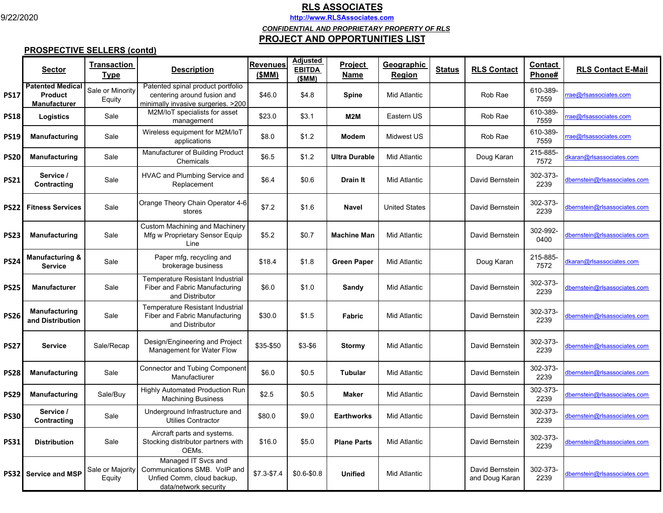9/22/2020

## **RLS ASSOCIATES**

**http://www.RLSAssociates.com**

*CONFIDENTIAL AND PROPRIETARY PROPERTY OF RLS*

#### **PROJECT AND OPPORTUNITIES LIST**

## **PROSPECTIVE SELLERS (contd)**

|             | <b>Sector</b>                                                    | <b>Transaction</b><br>Type | <b>Description</b>                                                                                         | <b>Revenues</b><br>(SMM) | <b>Adjusted</b><br><b>EBITDA</b><br>(\$MM) | <b>Project</b><br>Name | Geographic<br>Region | <b>Status</b> | <b>RLS Contact</b>                | <b>Contact</b><br>Phone# | <b>RLS Contact E-Mail</b>           |
|-------------|------------------------------------------------------------------|----------------------------|------------------------------------------------------------------------------------------------------------|--------------------------|--------------------------------------------|------------------------|----------------------|---------------|-----------------------------------|--------------------------|-------------------------------------|
| PS17        | <b>Patented Medical</b><br><b>Product</b><br><b>Manufacturer</b> | Sale or Minority<br>Equity | Patented spinal product portfolio<br>centering around fusion and<br>minimally invasive surgeries. > 200    | \$46.0                   | \$4.8                                      | Spine                  | Mid Atlantic         |               | Rob Rae                           | 610-389-<br>7559         | ae@rlsassociates.com                |
| <b>PS18</b> | Logistics                                                        | Sale                       | M2M/IoT specialists for asset<br>management                                                                | \$23.0                   | \$3.1                                      | M2M                    | Eastern US           |               | Rob Rae                           | 610-389-<br>7559         | ae@rlsassociates.com                |
| PS19        | <b>Manufacturing</b>                                             | Sale                       | Wireless equipment for M2M/loT<br>applications                                                             | \$8.0                    | \$1.2                                      | <b>Modem</b>           | Midwest US           |               | Rob Rae                           | 610-389-<br>7559         | ae@rlsassociates.com                |
| <b>PS20</b> | Manufacturing                                                    | Sale                       | Manufacturer of Building Product<br>Chemicals                                                              | \$6.5                    | \$1.2                                      | <b>Ultra Durable</b>   | Mid Atlantic         |               | Doug Karan                        | 215-885-<br>7572         | <b>Ikaran@rlsassociates.com</b>     |
| PS21        | Service /<br>Contracting                                         | Sale                       | HVAC and Plumbing Service and<br>Replacement                                                               | \$6.4                    | \$0.6                                      | <b>Drain It</b>        | Mid Atlantic         |               | David Bernstein                   | 302-373-<br>2239         | dbernstein@rlsassociates.com        |
| PS22        | <b>Fitness Services</b>                                          | Sale                       | Orange Theory Chain Operator 4-6<br>stores                                                                 | \$7.2                    | \$1.6                                      | <b>Navel</b>           | <b>United States</b> |               | David Bernstein                   | 302-373-<br>2239         | dbernstein@rlsassociates.com        |
| PS23        | Manufacturing                                                    | Sale                       | <b>Custom Machining and Machinery</b><br>Mfg w Proprietary Sensor Equip<br>Line                            | \$5.2                    | \$0.7                                      | <b>Machine Man</b>     | <b>Mid Atlantic</b>  |               | David Bernstein                   | 302-992-<br>0400         | dbernstein@rlsassociates.com        |
| <b>PS24</b> | <b>Manufacturing &amp;</b><br><b>Service</b>                     | Sale                       | Paper mfg, recycling and<br>brokerage business                                                             | \$18.4                   | \$1.8                                      | <b>Green Paper</b>     | <b>Mid Atlantic</b>  |               | Doug Karan                        | 215-885-<br>7572         | <b>Ikaran@rlsassociates.com</b>     |
| PS25        | Manufacturer                                                     | Sale                       | Temperature Resistant Industrial<br>Fiber and Fabric Manufacturing<br>and Distributor                      | \$6.0                    | \$1.0                                      | Sandy                  | <b>Mid Atlantic</b>  |               | David Bernstein                   | 302-373-<br>2239         | dbernstein@rlsassociates.com        |
| <b>PS26</b> | <b>Manufacturing</b><br>and Distribution                         | Sale                       | <b>Temperature Resistant Industrial</b><br>Fiber and Fabric Manufacturing<br>and Distributor               | \$30.0                   | \$1.5                                      | Fabric                 | Mid Atlantic         |               | David Bernstein                   | 302-373-<br>2239         | <u>dbernstein@rlsassociates.com</u> |
| PS27        | <b>Service</b>                                                   | Sale/Recap                 | Design/Engineering and Project<br>Management for Water Flow                                                | \$35-\$50                | $$3-$6$                                    | Stormy                 | Mid Atlantic         |               | David Bernstein                   | 302-373-<br>2239         | <b>Ibernstein@rlsassociates.com</b> |
| PS28        | <b>Manufacturing</b>                                             | Sale                       | Connector and Tubing Component<br>Manufactiurer                                                            | \$6.0                    | \$0.5                                      | <b>Tubular</b>         | Mid Atlantic         |               | David Bernstein                   | 302-373-<br>2239         | <b>Ibernstein@rlsassociates.com</b> |
| PS29        | Manufacturing                                                    | Sale/Buy                   | <b>Highly Automated Production Run</b><br><b>Machining Business</b>                                        | \$2.5                    | \$0.5                                      | <b>Maker</b>           | Mid Atlantic         |               | David Bernstein                   | 302-373-<br>2239         | dbernstein@rlsassociates.com        |
| <b>PS30</b> | Service /<br>Contracting                                         | Sale                       | Underground Infrastructure and<br><b>Utilies Contractor</b>                                                | \$80.0                   | \$9.0                                      | <b>Earthworks</b>      | <b>Mid Atlantic</b>  |               | David Bernstein                   | 302-373-<br>2239         | lbernstein@rlsassociates.com        |
| <b>PS31</b> | <b>Distribution</b>                                              | Sale                       | Aircraft parts and systems.<br>Stocking distributor partners with<br>OEMs.                                 | \$16.0                   | \$5.0                                      | <b>Plane Parts</b>     | Mid Atlantic         |               | David Bernstein                   | 302-373-<br>2239         | <u>lbernstein@rlsassociates.com</u> |
|             | PS32 Service and MSP                                             | Sale or Majority<br>Equity | Managed IT Svcs and<br>Communications SMB. VoIP and<br>Unfied Comm, cloud backup,<br>data/network security | \$7.3-\$7.4              | $$0.6 - $0.8$                              | <b>Unified</b>         | <b>Mid Atlantic</b>  |               | David Bernstein<br>and Doug Karan | 302-373-<br>2239         | lbernstein@rlsassociates.com        |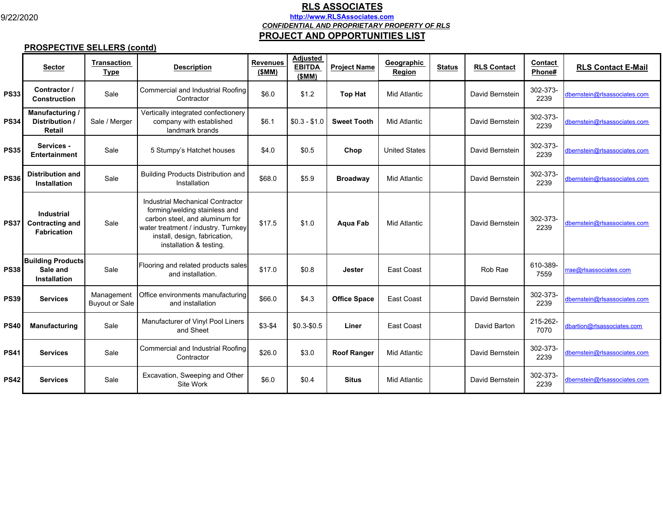9/22/2020

## **RLS ASSOCIATES http://www.RLSAssociates.com** *CONFIDENTIAL AND PROPRIETARY PROPERTY OF RLS* **PROJECT AND OPPORTUNITIES LIST**

## **PROSPECTIVE SELLERS (contd)**

|             | <b>Sector</b>                                                     | <b>Transaction</b><br><b>Type</b>   | <b>Description</b>                                                                                                                                                                                     | <b>Revenues</b><br>(SMM) | <b>Adjusted</b><br><b>EBITDA</b><br>(SMM) | <b>Project Name</b> | Geographic<br>Region | <b>Status</b> | <b>RLS Contact</b> | Contact<br>Phone# | <b>RLS Contact E-Mail</b>    |
|-------------|-------------------------------------------------------------------|-------------------------------------|--------------------------------------------------------------------------------------------------------------------------------------------------------------------------------------------------------|--------------------------|-------------------------------------------|---------------------|----------------------|---------------|--------------------|-------------------|------------------------------|
| <b>PS33</b> | Contractor /<br><b>Construction</b>                               | Sale                                | Commercial and Industrial Roofing<br>Contractor                                                                                                                                                        | \$6.0                    | \$1.2                                     | <b>Top Hat</b>      | <b>Mid Atlantic</b>  |               | David Bernstein    | 302-373-<br>2239  | dbernstein@rlsassociates.com |
| <b>PS34</b> | Manufacturing /<br>Distribution /<br><b>Retail</b>                | Sale / Merger                       | Vertically integrated confectionery<br>company with established<br>landmark brands                                                                                                                     | \$6.1                    | $$0.3 - $1.0$                             | <b>Sweet Tooth</b>  | <b>Mid Atlantic</b>  |               | David Bernstein    | 302-373-<br>2239  | dbernstein@rlsassociates.com |
| <b>PS35</b> | Services -<br><b>Entertainment</b>                                | Sale                                | 5 Stumpy's Hatchet houses                                                                                                                                                                              | \$4.0                    | \$0.5                                     | Chop                | <b>United States</b> |               | David Bernstein    | 302-373-<br>2239  | dbernstein@rlsassociates.com |
| <b>PS36</b> | <b>Distribution and</b><br><b>Installation</b>                    | Sale                                | <b>Building Products Distribution and</b><br>Installation                                                                                                                                              | \$68.0                   | \$5.9                                     | <b>Broadway</b>     | <b>Mid Atlantic</b>  |               | David Bernstein    | 302-373-<br>2239  | dbernstein@rlsassociates.com |
| <b>PS37</b> | <b>Industrial</b><br><b>Contracting and</b><br><b>Fabrication</b> | Sale                                | Industrial Mechanical Contractor<br>forming/welding stainless and<br>carbon steel, and aluminum for<br>water treatment / industry. Turnkey<br>install, design, fabrication,<br>installation & testing. | \$17.5                   | \$1.0                                     | Aqua Fab            | <b>Mid Atlantic</b>  |               | David Bernstein    | 302-373-<br>2239  | dbernstein@rlsassociates.com |
| <b>PS38</b> | <b>Building Products</b><br>Sale and<br><b>Installation</b>       | Sale                                | Flooring and related products sales<br>and installation.                                                                                                                                               | \$17.0                   | \$0.8                                     | <b>Jester</b>       | East Coast           |               | Rob Rae            | 610-389-<br>7559  | rrae@rlsassociates.com       |
| <b>PS39</b> | <b>Services</b>                                                   | Management<br><b>Buyout or Sale</b> | Office environments manufacturing<br>and installation                                                                                                                                                  | \$66.0                   | \$4.3                                     | <b>Office Space</b> | East Coast           |               | David Bernstein    | 302-373-<br>2239  | dbernstein@rlsassociates.com |
| <b>PS40</b> | <b>Manufacturing</b>                                              | Sale                                | Manufacturer of Vinyl Pool Liners<br>and Sheet                                                                                                                                                         | $$3-$4$                  | $$0.3 - $0.5$                             | Liner               | East Coast           |               | David Barton       | 215-262-<br>7070  | dbartion@rlsassociates.com   |
| <b>PS41</b> | <b>Services</b>                                                   | Sale                                | Commercial and Industrial Roofing<br>Contractor                                                                                                                                                        | \$26.0                   | \$3.0                                     | <b>Roof Ranger</b>  | <b>Mid Atlantic</b>  |               | David Bernstein    | 302-373-<br>2239  | dbernstein@rlsassociates.com |
| <b>PS42</b> | <b>Services</b>                                                   | Sale                                | Excavation, Sweeping and Other<br>Site Work                                                                                                                                                            | \$6.0                    | \$0.4                                     | <b>Situs</b>        | <b>Mid Atlantic</b>  |               | David Bernstein    | 302-373-<br>2239  | dbernstein@rlsassociates.com |